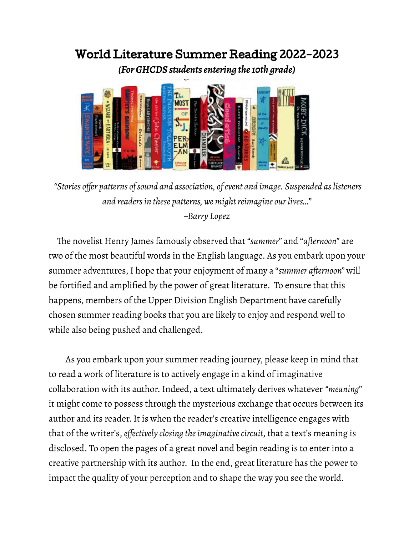# World Literature Summer Reading 2022-2023

*(For GHCDS students entering the 10th grade)*



*"Stories offer patterns of sound and association, of event and image. Suspended as listeners and readers in these patterns, we might reimagine our lives…" –Barry Lopez*

The novelist Henry James famously observed that "*summer*" and "*afternoon*" are two of the most beautiful words in the English language. As you embark upon your summer adventures, I hope that your enjoyment of many a "*summer afternoon"* will be fortified and amplified by the power of great literature. To ensure that this happens, members of the Upper Division English Department have carefully chosen summer reading books that you are likely to enjoy and respond well to while also being pushed and challenged.

As you embark upon your summer reading journey, please keep in mind that to read a work of literature is to actively engage in a kind of imaginative collaboration with its author. Indeed, a text ultimately derives whatever *"meaning*" it might come to possess through the mysterious exchange that occurs between its author and its reader. It is when the reader's creative intelligence engages with that of the writer's, *effectively closing the imaginative circuit*, that a text's meaning is disclosed. To open the pages of a great novel and begin reading is to enter into a creative partnership with its author. In the end, great literature has the power to impact the quality of your perception and to shape the way you see the world.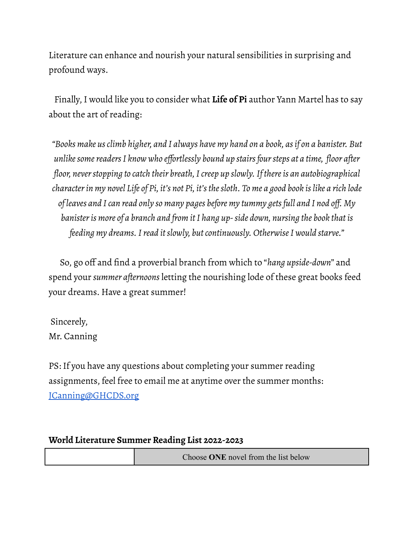Literature can enhance and nourish your natural sensibilities in surprising and profound ways.

Finally, I would like you to consider what **Life of Pi** author Yann Martel has to say about the art of reading:

*"Books make us climb higher, and I always have my hand on a book, as if on a banister. But unlike some readers I know who effortlessly bound up stairs four steps at a time, floor after floor, never stopping to catch their breath, I creep up slowly. If there is an autobiographical character in my novel Life of Pi, it's not Pi, it's the sloth. To me a good book is like a rich lode of leaves and I can read only so many pages before my tummy gets full and I nod off. My banister is more of a branch and from it I hang up- side down, nursing the book that is feeding my dreams. I read it slowly, but continuously. Otherwise I would starve."*

So, go off and find a proverbial branch from which to "*hang upside-down*" and spend your *summer afternoons* letting the nourishing lode of these great books feed your dreams. Have a great summer!

Sincerely, Mr. Canning

PS: If you have any questions about completing your summer reading assignments, feel free to email me at anytime over the summer months: [JCanning@GHCDS.org](mailto:JCanning@GHCDS.org)

## **World Literature Summer Reading List 2022-2023**

| Choose ONE novel from the list below |
|--------------------------------------|
|--------------------------------------|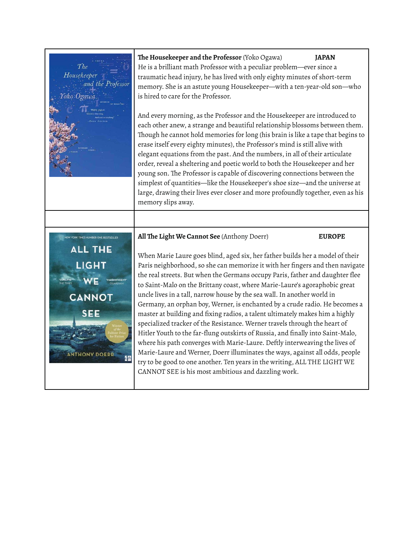

**The Housekeeper and the Professor** (Yoko Ogawa) **JAPAN**

He is a brilliant math Professor with a peculiar problem―ever since a traumatic head injury, he has lived with only eighty minutes of short-term memory. She is an astute young Housekeeper―with a ten-year-old son―who is hired to care for the Professor.

And every morning, as the Professor and the Housekeeper are introduced to each other anew, a strange and beautiful relationship blossoms between them. Though he cannot hold memories for long (his brain is like a tape that begins to erase itself every eighty minutes), the Professor's mind is still alive with elegant equations from the past. And the numbers, in all of their articulate order, reveal a sheltering and poetic world to both the Housekeeper and her young son. The Professor is capable of discovering connections between the simplest of quantities—like the Housekeeper's shoe size—and the universe at large, drawing their lives ever closer and more profoundly together, even as his memory slips away.



### **All The Light We Cannot See** (Anthony Doerr) **EUROPE**

When Marie Laure goes blind, aged six, her father builds her a model of their Paris neighborhood, so she can memorize it with her fingers and then navigate the real streets. But when the Germans occupy Paris, father and daughter flee to Saint-Malo on the Brittany coast, where Marie-Laure's agoraphobic great uncle lives in a tall, narrow house by the sea wall. In another world in Germany, an orphan boy, Werner, is enchanted by a crude radio. He becomes a master at building and fixing radios, a talent ultimately makes him a highly specialized tracker of the Resistance. Werner travels through the heart of Hitler Youth to the far-flung outskirts of Russia, and finally into Saint-Malo, where his path converges with Marie-Laure. Deftly interweaving the lives of Marie-Laure and Werner, Doerr illuminates the ways, against all odds, people try to be good to one another. Ten years in the writing, ALL THE LIGHT WE CANNOT SEE is his most ambitious and dazzling work.